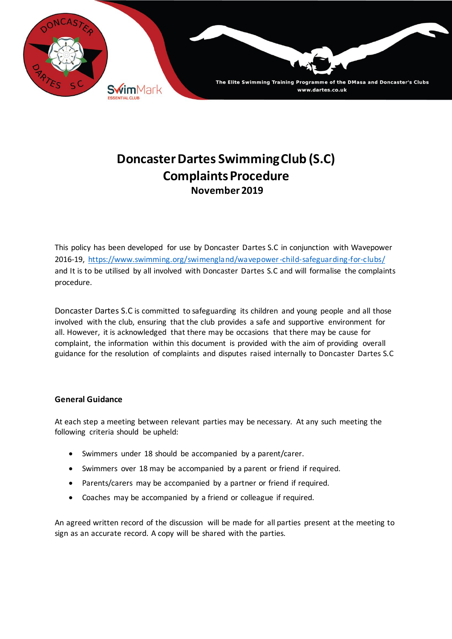

# **Doncaster Dartes Swimming Club (S.C) Complaints Procedure November 2019**

This policy has been developed for use by Doncaster Dartes S.C in conjunction with Wavepower 2016-19, <https://www.swimming.org/swimengland/wavepower-child-safeguarding-for-clubs/> and It is to be utilised by all involved with Doncaster Dartes S.C and will formalise the complaints procedure.

Doncaster Dartes S.C is committed to safeguarding its children and young people and all those involved with the club, ensuring that the club provides a safe and supportive environment for all. However, it is acknowledged that there may be occasions that there may be cause for complaint, the information within this document is provided with the aim of providing overall guidance for the resolution of complaints and disputes raised internally to Doncaster Dartes S.C

## **General Guidance**

At each step a meeting between relevant parties may be necessary. At any such meeting the following criteria should be upheld:

- Swimmers under 18 should be accompanied by a parent/carer.
- Swimmers over 18 may be accompanied by a parent or friend if required.
- Parents/carers may be accompanied by a partner or friend if required.
- Coaches may be accompanied by a friend or colleague if required.

An agreed written record of the discussion will be made for all parties present at the meeting to sign as an accurate record. A copy will be shared with the parties.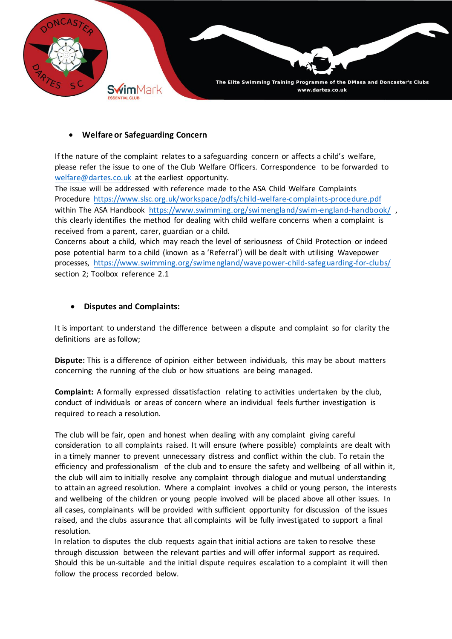

## • **Welfare or Safeguarding Concern**

If the nature of the complaint relates to a safeguarding concern or affects a child's welfare, please refer the issue to one of the Club Welfare Officers. Correspondence to be forwarded to [welfare@dartes.co.uk](mailto:welfare@dartes.co.uk) at the earliest opportunity.

The issue will be addressed with reference made to the ASA Child Welfare Complaints Procedure <https://www.slsc.org.uk/workspace/pdfs/child-welfare-complaints-procedure.pdf> within The ASA Handbook <https://www.swimming.org/swimengland/swim-england-handbook/>, this clearly identifies the method for dealing with child welfare concerns when a complaint is received from a parent, carer, guardian or a child.

Concerns about a child, which may reach the level of seriousness of Child Protection or indeed pose potential harm to a child (known as a 'Referral') will be dealt with utilising Wavepower processes, <https://www.swimming.org/swimengland/wavepower-child-safeguarding-for-clubs/> section 2; Toolbox reference 2.1

## • **Disputes and Complaints:**

It is important to understand the difference between a dispute and complaint so for clarity the definitions are as follow;

**Dispute:** This is a difference of opinion either between individuals, this may be about matters concerning the running of the club or how situations are being managed.

**Complaint:** A formally expressed dissatisfaction relating to activities undertaken by the club, conduct of individuals or areas of concern where an individual feels further investigation is required to reach a resolution.

The club will be fair, open and honest when dealing with any complaint giving careful consideration to all complaints raised. It will ensure (where possible) complaints are dealt with in a timely manner to prevent unnecessary distress and conflict within the club. To retain the efficiency and professionalism of the club and to ensure the safety and wellbeing of all within it, the club will aim to initially resolve any complaint through dialogue and mutual understanding to attain an agreed resolution. Where a complaint involves a child or young person, the interests and wellbeing of the children or young people involved will be placed above all other issues. In all cases, complainants will be provided with sufficient opportunity for discussion of the issues raised, and the clubs assurance that all complaints will be fully investigated to support a final resolution.

In relation to disputes the club requests again that initial actions are taken to resolve these through discussion between the relevant parties and will offer informal support as required. Should this be un-suitable and the initial dispute requires escalation to a complaint it will then follow the process recorded below.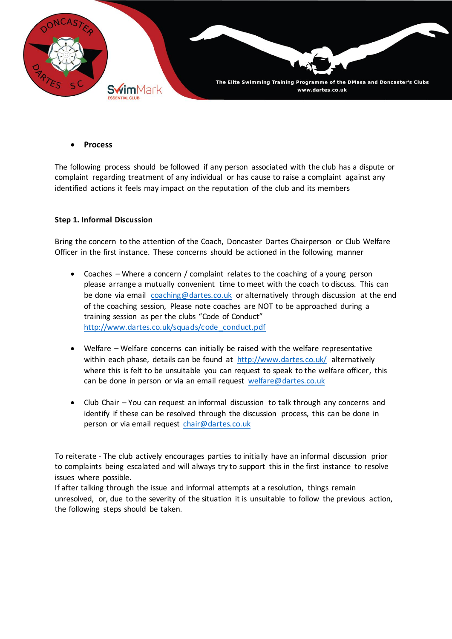

• **Process** 

The following process should be followed if any person associated with the club has a dispute or complaint regarding treatment of any individual or has cause to raise a complaint against any identified actions it feels may impact on the reputation of the club and its members

### **Step 1. Informal Discussion**

Bring the concern to the attention of the Coach, Doncaster Dartes Chairperson or Club Welfare Officer in the first instance. These concerns should be actioned in the following manner

- Coaches Where a concern / complaint relates to the coaching of a young person please arrange a mutually convenient time to meet with the coach to discuss. This can be done via email [coaching@dartes.co.uk](mailto:coaching@dartes.co.uk) or alternatively through discussion at the end of the coaching session, Please note coaches are NOT to be approached during a training session as per the clubs "Code of Conduct" [http://www.dartes.co.uk/squads/code\\_conduct.pdf](http://www.dartes.co.uk/squads/code_conduct.pdf)
- Welfare Welfare concerns can initially be raised with the welfare representative within each phase, details can be found at <http://www.dartes.co.uk/> alternatively where this is felt to be unsuitable you can request to speak to the welfare officer, this can be done in person or via an email request [welfare@dartes.co.uk](mailto:welfare@dartes.co.uk)
- Club Chair You can request an informal discussion to talk through any concerns and identify if these can be resolved through the discussion process, this can be done in person or via email request [chair@dartes.co.uk](mailto:chair@dartes.co.uk)

To reiterate - The club actively encourages parties to initially have an informal discussion prior to complaints being escalated and will always try to support this in the first instance to resolve issues where possible.

If after talking through the issue and informal attempts at a resolution, things remain unresolved, or, due to the severity of the situation it is unsuitable to follow the previous action, the following steps should be taken.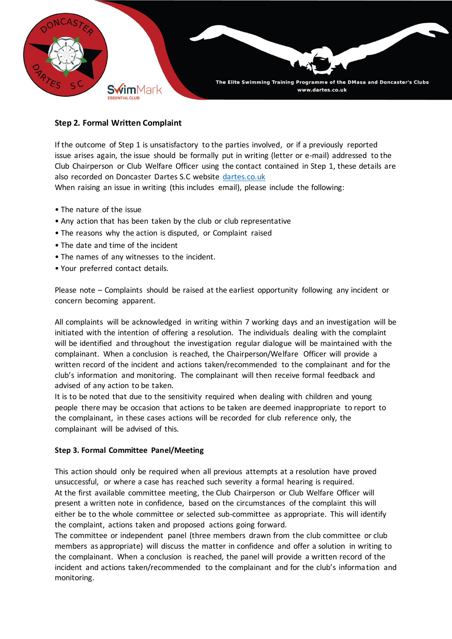

## **Step 2. Formal Written Complaint**

If the outcome of Step 1 is unsatisfactory to the parties involved, or if a previously reported issue arises again, the issue should be formally put in writing (letter or e-mail) addressed to the Club Chairperson or Club Welfare Officer using the contact contained in Step 1, these details are also recorded on Doncaster Dartes S.C website <dartes.co.uk> When raising an issue in writing (this includes email), please include the following:

- The nature of the issue
- Any action that has been taken by the club or club representative
- The reasons why the action is disputed, or Complaint raised
- The date and time of the incident
- The names of any witnesses to the incident.
- Your preferred contact details.

Please note – Complaints should be raised at the earliest opportunity following any incident or concern becoming apparent.

All complaints will be acknowledged in writing within 7 working days and an investigation will be initiated with the intention of offering a resolution. The individuals dealing with the complaint will be identified and throughout the investigation regular dialogue will be maintained with the complainant. When a conclusion is reached, the Chairperson/Welfare Officer will provide a written record of the incident and actions taken/recommended to the complainant and for the club's information and monitoring. The complainant will then receive formal feedback and advised of any action to be taken.

It is to be noted that due to the sensitivity required when dealing with children and young people there may be occasion that actions to be taken are deemed inappropriate to report to the complainant, in these cases actions will be recorded for club reference only, the complainant will be advised of this.

### **Step 3. Formal Committee Panel/Meeting**

This action should only be required when all previous attempts at a resolution have proved unsuccessful, or where a case has reached such severity a formal hearing is required. At the first available committee meeting, the Club Chairperson or Club Welfare Officer will present a written note in confidence, based on the circumstances of the complaint this will either be to the whole committee or selected sub-committee as appropriate. This will identify the complaint, actions taken and proposed actions going forward.

The committee or independent panel (three members drawn from the club committee or club members as appropriate) will discuss the matter in confidence and offer a solution in writing to the complainant. When a conclusion is reached, the panel will provide a written record of the incident and actions taken/recommended to the complainant and for the club's information and monitoring.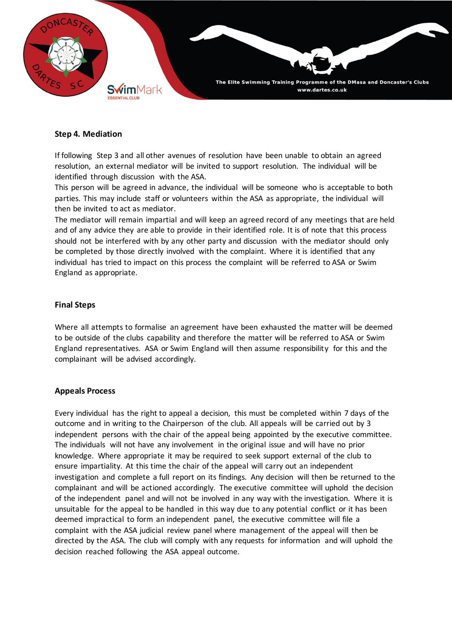

### **Step 4. Mediation**

If following Step 3 and all other avenues of resolution have been unable to obtain an agreed resolution, an external mediator will be invited to support resolution. The individual will be identified through discussion with the ASA.

This person will be agreed in advance, the individual will be someone who is acceptable to both parties. This may include staff or volunteers within the ASA as appropriate, the individual will then be invited to act as mediator.

The mediator will remain impartial and will keep an agreed record of any meetings that are held and of any advice they are able to provide in their identified role. It is of note that this process should not be interfered with by any other party and discussion with the mediator should only be completed by those directly involved with the complaint. Where it is identified that any individual has tried to impact on this process the complaint will be referred to ASA or Swim England as appropriate.

#### **Final Steps**

Where all attempts to formalise an agreement have been exhausted the matter will be deemed to be outside of the clubs capability and therefore the matter will be referred to ASA or Swim England representatives. ASA or Swim England will then assume responsibility for this and the complainant will be advised accordingly.

#### **Appeals Process**

Every individual has the right to appeal a decision, this must be completed within 7 days of the outcome and in writing to the Chairperson of the club. All appeals will be carried out by 3 independent persons with the chair of the appeal being appointed by the executive committee. The individuals will not have any involvement in the original issue and will have no prior knowledge. Where appropriate it may be required to seek support external of the club to ensure impartiality. At this time the chair of the appeal will carry out an independent investigation and complete a full report on its findings. Any decision will then be returned to the complainant and will be actioned accordingly. The executive committee will uphold the decision of the independent panel and will not be involved in any way with the investigation. Where it is unsuitable for the appeal to be handled in this way due to any potential conflict or it has been deemed impractical to form an independent panel, the executive committee will file a complaint with the ASA judicial review panel where management of the appeal will then be directed by the ASA. The club will comply with any requests for information and will uphold the decision reached following the ASA appeal outcome.